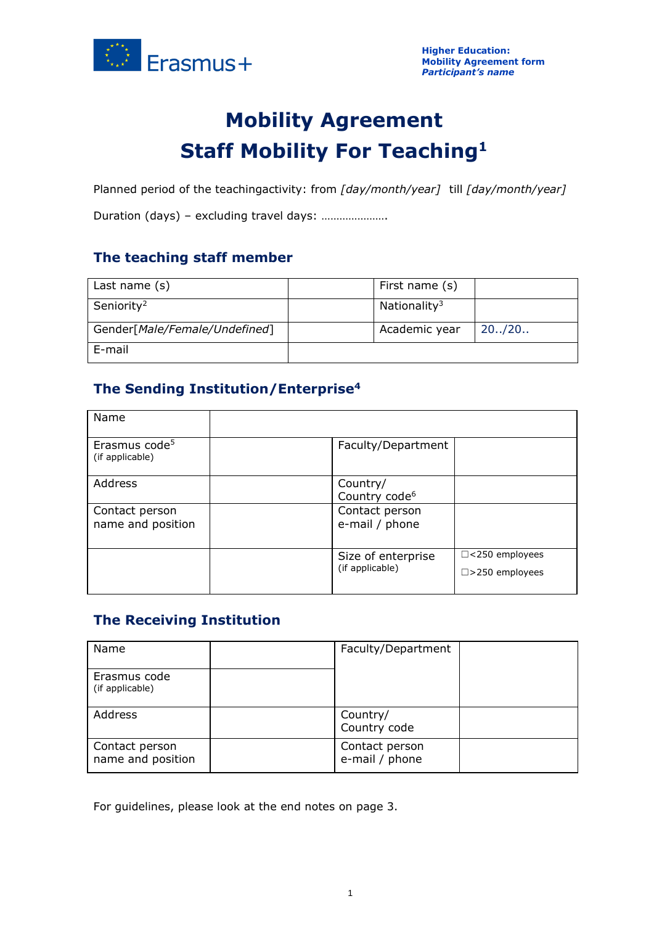

# **Mobility Agreement Staff Mobility For Teaching<sup>1</sup>**

Planned period of the teachingactivity: from *[day/month/year]* till *[day/month/year]*

Duration (days) – excluding travel days: ………………….

# **The teaching staff member**

| Last name $(s)$               | First name (s)           |         |
|-------------------------------|--------------------------|---------|
| Seniority <sup>2</sup>        | Nationality <sup>3</sup> |         |
| Gender[Male/Female/Undefined] | Academic year            | 20.720. |
| E-mail                        |                          |         |

# **The Sending Institution/Enterprise<sup>4</sup>**

| Name                                         |                                       |                                                    |
|----------------------------------------------|---------------------------------------|----------------------------------------------------|
| Erasmus code <sup>5</sup><br>(if applicable) | Faculty/Department                    |                                                    |
| Address                                      | Country/<br>Country code <sup>6</sup> |                                                    |
| Contact person<br>name and position          | Contact person<br>e-mail / phone      |                                                    |
|                                              | Size of enterprise<br>(if applicable) | $\Box$ <250 employees<br>$\square$ > 250 employees |

# **The Receiving Institution**

| Name                                | Faculty/Department               |  |
|-------------------------------------|----------------------------------|--|
| Erasmus code<br>(if applicable)     |                                  |  |
| Address                             | Country/<br>Country code         |  |
| Contact person<br>name and position | Contact person<br>e-mail / phone |  |

For guidelines, please look at the end notes on page 3.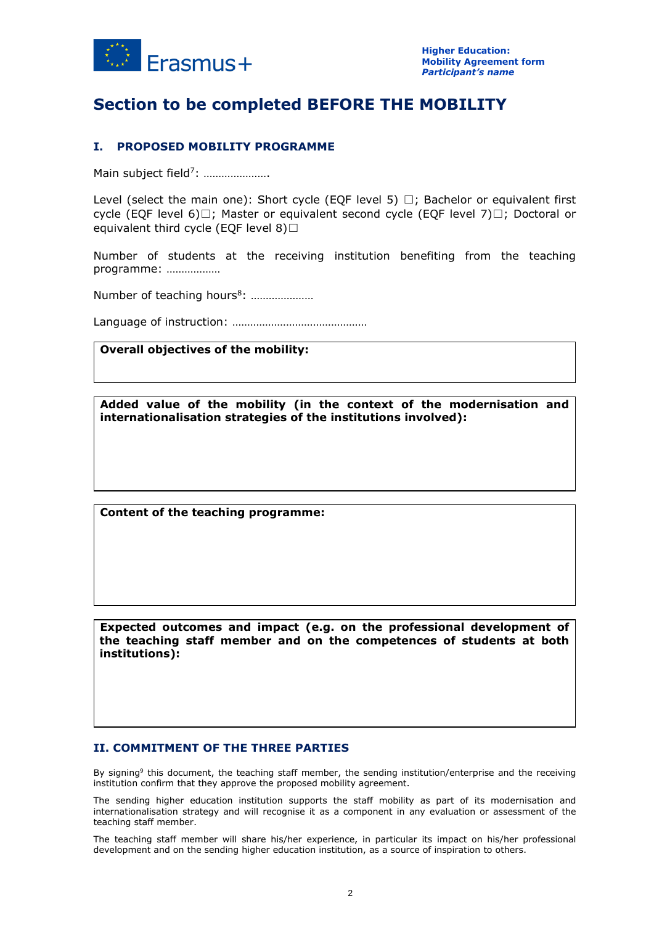

# **Section to be completed BEFORE THE MOBILITY**

## **I. PROPOSED MOBILITY PROGRAMME**

Main subject field<sup>7</sup>: .....................

Level (select the main one): Short cycle (EQF level 5)  $\Box$ ; Bachelor or equivalent first cycle (EQF level 6)□; Master or equivalent second cycle (EQF level 7)□; Doctoral or equivalent third cycle (EQF level  $8)$  $\Box$ 

Number of students at the receiving institution benefiting from the teaching programme: ………………

Number of teaching hours<sup>8</sup>: .....................

Language of instruction: ………………………………………

#### **Overall objectives of the mobility:**

**Added value of the mobility (in the context of the modernisation and internationalisation strategies of the institutions involved):**

**Content of the teaching programme:**

**Expected outcomes and impact (e.g. on the professional development of the teaching staff member and on the competences of students at both institutions):**

#### **II. COMMITMENT OF THE THREE PARTIES**

By signing<sup>9</sup> this document, the teaching staff member, the sending institution/enterprise and the receiving institution confirm that they approve the proposed mobility agreement.

The sending higher education institution supports the staff mobility as part of its modernisation and internationalisation strategy and will recognise it as a component in any evaluation or assessment of the teaching staff member.

The teaching staff member will share his/her experience, in particular its impact on his/her professional development and on the sending higher education institution, as a source of inspiration to others.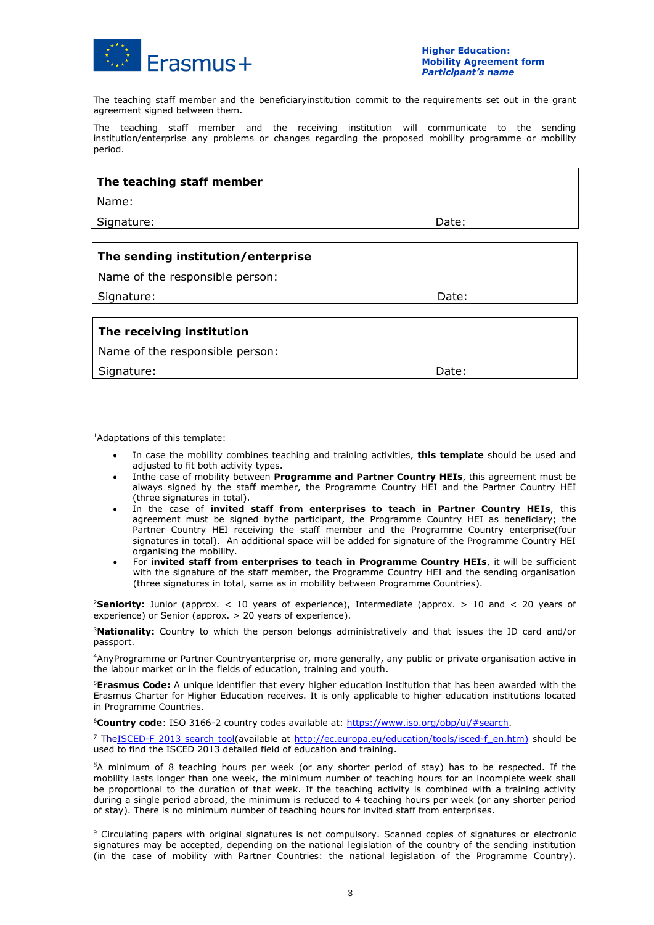

The teaching staff member and the beneficiaryinstitution commit to the requirements set out in the grant agreement signed between them.

The teaching staff member and the receiving institution will communicate to the sending institution/enterprise any problems or changes regarding the proposed mobility programme or mobility period.

## **The teaching staff member**

Name:

Signature: **Date:** Date: **Date:** Date: **Date:** Date: **Date:** Date: **Date:** Date: **Date:** 2014

## **The sending institution/enterprise**

Name of the responsible person:

Signature: Date: Date: Date: Date: Date: Date: Date: Date: Date: Date: Date: Date: Date: Date: Date: Date: Date: Date: Date: Date: Date: Date: Date: Date: Date: Date: Date: Date: Date: Date: Date: Date: Date: Date: Date: D

## **The receiving institution**

Name of the responsible person:

Signature: Notified that the set of the set of the set of the set of the set of the Date:

<sup>1</sup>Adaptations of this template:

- In case the mobility combines teaching and training activities, **this template** should be used and adjusted to fit both activity types.
- Inthe case of mobility between **Programme and Partner Country HEIs**, this agreement must be always signed by the staff member, the Programme Country HEI and the Partner Country HEI (three signatures in total).
- In the case of **invited staff from enterprises to teach in Partner Country HEIs**, this agreement must be signed bythe participant, the Programme Country HEI as beneficiary; the Partner Country HEI receiving the staff member and the Programme Country enterprise(four signatures in total). An additional space will be added for signature of the Programme Country HEI organising the mobility.
- For **invited staff from enterprises to teach in Programme Country HEIs**, it will be sufficient with the signature of the staff member, the Programme Country HEI and the sending organisation (three signatures in total, same as in mobility between Programme Countries).

<sup>2</sup>**Seniority:** Junior (approx. < 10 years of experience), Intermediate (approx. > 10 and < 20 years of experience) or Senior (approx. > 20 years of experience).

<sup>3</sup>**Nationality:** Country to which the person belongs administratively and that issues the ID card and/or passport.

<sup>4</sup>AnyProgramme or Partner Countryenterprise or, more generally, any public or private organisation active in the labour market or in the fields of education, training and youth.

<sup>5</sup>**Erasmus Code:** A unique identifier that every higher education institution that has been awarded with the Erasmus Charter for Higher Education receives. It is only applicable to higher education institutions located in Programme Countries.

<sup>6</sup>**Country code**: ISO 3166-2 country codes available at: [https://www.iso.org/obp/ui/#search.](https://www.iso.org/obp/ui/#search)

<sup>7</sup> Th[eISCED-F 2013 search tool\(](http://ec.europa.eu/education/tools/isced-f_en.htm)available at [http://ec.europa.eu/education/tools/isced-f\\_en.htm\)](http://ec.europa.eu/education/tools/isced-f_en.htm) should be used to find the ISCED 2013 detailed field of education and training.

 ${}^{8}A$  minimum of 8 teaching hours per week (or any shorter period of stay) has to be respected. If the mobility lasts longer than one week, the minimum number of teaching hours for an incomplete week shall be proportional to the duration of that week. If the teaching activity is combined with a training activity during a single period abroad, the minimum is reduced to 4 teaching hours per week (or any shorter period of stay). There is no minimum number of teaching hours for invited staff from enterprises.

<sup>9</sup> Circulating papers with original signatures is not compulsory. Scanned copies of signatures or electronic signatures may be accepted, depending on the national legislation of the country of the sending institution (in the case of mobility with Partner Countries: the national legislation of the Programme Country).